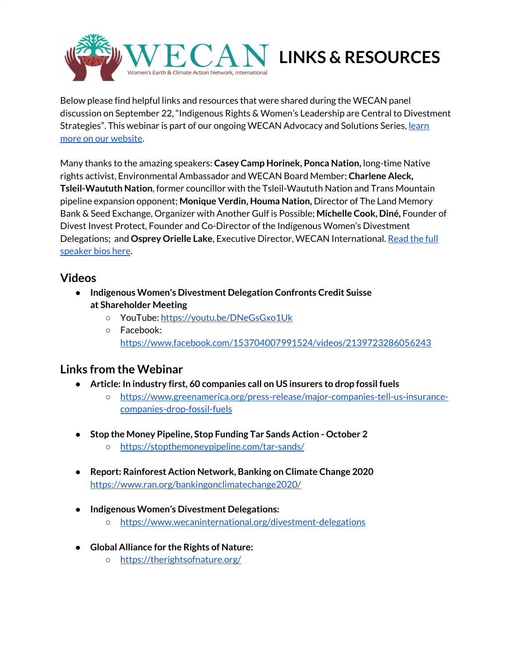

Below please find helpful links and resources that were shared during the WECAN panel discussion on September 22, "Indigenous Rights & Women's Leadership are Central to Divestment Strategies". This webinar is part of our ongoing WECAN Advocacy and Solutions Series, [learn](https://www.wecaninternational.org/) more on our [website](https://www.wecaninternational.org/).

Many thanks to the amazing speakers: **Casey Camp Horinek, Ponca Nation,** long-time Native rights activist, Environmental Ambassador and WECAN Board Member; **Charlene Aleck, Tsleil-Waututh Nation**, former councillor with the Tsleil-Waututh Nation and Trans Mountain pipeline expansion opponent; **Monique Verdin, Houma Nation,** Director of The Land Memory Bank & Seed Exchange, Organizer with Another Gulf is Possible; **Michelle Cook, Diné,** Founder of Divest Invest Protect, Founder and Co-Director of the Indigenous Women's Divestment Delegations; and **Osprey Orielle Lake**, Executive Director, WECAN International. [Read](https://e01c23b4-9f2e-4830-9320-a86de06b013e.filesusr.com/ugd/d99d2e_93ce55f747334299a35ed0e80899a97a.pdf?fbclid=IwAR08l1-wCiZYTL8lJHYiBViNZxFb6Mf-0CEG_rPdjLsFqWTZzXKWtUS0ucI) the full [speaker](https://e01c23b4-9f2e-4830-9320-a86de06b013e.filesusr.com/ugd/d99d2e_93ce55f747334299a35ed0e80899a97a.pdf?fbclid=IwAR08l1-wCiZYTL8lJHYiBViNZxFb6Mf-0CEG_rPdjLsFqWTZzXKWtUS0ucI) bios here.

## **Videos**

- **● Indigenous Women's Divestment Delegation Confronts Credit Suisse at Shareholder Meeting**
	- YouTube: <https://youtu.be/DNeGsGxo1Uk>
	- Facebook: <https://www.facebook.com/153704007991524/videos/2139723286056243>

## **Links from the Webinar**

- **Article: In industry first, 60 companies call on US insurers to drop fossil fuels**
	- [https://www.greenamerica.org/press-release/major-companies-tell-us-insurance](https://www.greenamerica.org/press-release/major-companies-tell-us-insurance-companies-drop-fossil-fuels)[companies-drop-fossil-fuels](https://www.greenamerica.org/press-release/major-companies-tell-us-insurance-companies-drop-fossil-fuels)
- **Stop the Money Pipeline, Stop Funding Tar Sands Action - October 2**
	- <https://stopthemoneypipeline.com/tar-sands/>
- **Report: Rainforest Action Network, Banking on Climate Change 2020** <https://www.ran.org/bankingonclimatechange2020/>
- **● Indigenous Women's Divestment Delegations:**
	- <https://www.wecaninternational.org/divestment-delegations>
- **● Global Alliance for the Rights of Nature:**
	- <https://therightsofnature.org/>